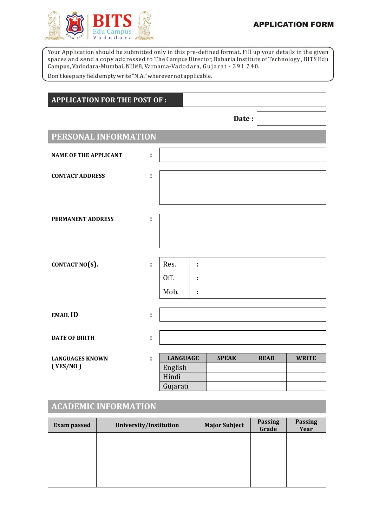

### **APPLICATION FORM**

Your Application should be submitted only in this pre-defined format. Fill up your details in the given spaces and send a copy addressed to The Campus Director, Babaria Institute of Technology, BITS Edu Campus, Vadodara-Mumbai, NH#8, Varnama-Vadodara, Gujarat - 391 240.

Don't keep any field empty write "N.A." wherever not applicable.

| <b>APPLICATION FOR THE POST OF :</b> |    |                                                 |              |              |             |              |
|--------------------------------------|----|-------------------------------------------------|--------------|--------------|-------------|--------------|
|                                      |    |                                                 |              | Date:        |             |              |
| PERSONAL INFORMATION                 |    |                                                 |              |              |             |              |
| <b>NAME OF THE APPLICANT</b>         | t  |                                                 |              |              |             |              |
| <b>CONTACT ADDRESS</b>               | t, |                                                 |              |              |             |              |
| <b>PERMANENT ADDRESS</b>             | ÷  |                                                 |              |              |             |              |
| CONTACT NO(S).                       | ÷  | Res.<br>Off.<br>Mob.                            | t,<br>t<br>÷ |              |             |              |
| <b>EMAIL ID</b>                      | t  |                                                 |              |              |             |              |
| <b>DATE OF BIRTH</b>                 | t  |                                                 |              |              |             |              |
| <b>LANGUAGES KNOWN</b><br>(YES/NO)   | ÷  | <b>LANGUAGE</b><br>English<br>Hindi<br>Gujarati |              | <b>SPEAK</b> | <b>READ</b> | <b>WRITE</b> |

## **ACADEMIC INFORMATION**

| <b>Exam passed</b> | University/Institution | <b>Major Subject</b> | <b>Passing</b><br>Grade | <b>Passing</b><br>Year |
|--------------------|------------------------|----------------------|-------------------------|------------------------|
|                    |                        |                      |                         |                        |
|                    |                        |                      |                         |                        |
|                    |                        |                      |                         |                        |
|                    |                        |                      |                         |                        |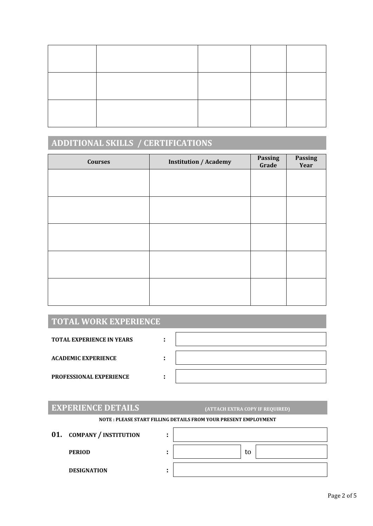# **ADDITIONAL SKILLS / CERTIFICATIONS**

| <b>Courses</b> | <b>Institution / Academy</b> | Passing<br>Grade | Passing<br>Year |
|----------------|------------------------------|------------------|-----------------|
|                |                              |                  |                 |
|                |                              |                  |                 |
|                |                              |                  |                 |
|                |                              |                  |                 |
|                |                              |                  |                 |
|                |                              |                  |                 |
|                |                              |                  |                 |
|                |                              |                  |                 |
|                |                              |                  |                 |
|                |                              |                  |                 |

# **TOTAL WORK EXPERIENCE**

| <b>TOTAL EXPERIENCE IN YEARS</b> |  |
|----------------------------------|--|
| <b>ACADEMIC EXPERIENCE</b>       |  |
| <b>PROFESSIONAL EXPERIENCE</b>   |  |

# **EXPERIENCE DETAILS** *(ATTACH EXTRA COPY IF REQUIRED)*

### **NOTE : PLEASE START FILLING DETAILS FROM YOUR PRESENT EMPLOYMENT**

 $\mathsf{r}$ 

**01. COMPANY / INSTITUTION :**

**PERIOD** 

**DESIGNATION :**

| to |
|----|
|    |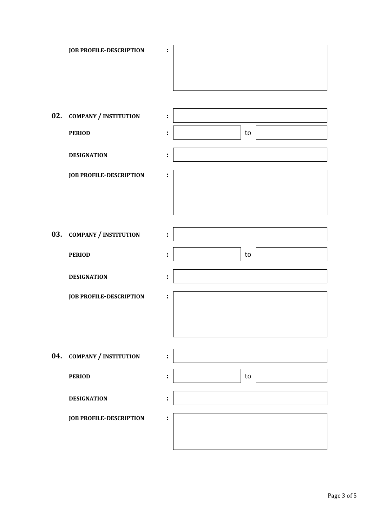| <b>JOB PROFILE-DESCRIPTION</b> |  |
|--------------------------------|--|
|--------------------------------|--|



**02. COMPANY / INSTITUTION :**

**DESIGNATION :**

**JOB PROFILE-DESCRIPTION :**



**03. COMPANY / INSTITUTION :**

**DESIGNATION :**

**JOB PROFILE-DESCRIPTION :**

**04. COMPANY / INSTITUTION :**

**DESIGNATION :**

**JOB PROFILE-DESCRIPTION :**

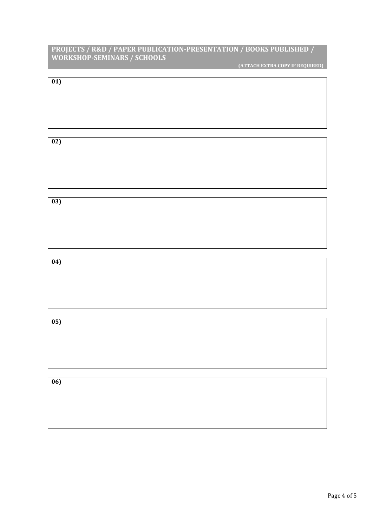### **PROJECTS / R&D / PAPER PUBLICATION-PRESENTATION / BOOKS PUBLISHED / WORKSHOP-SEMINARS / SCHOOLS**

**(ATTACH EXTRA COPY IF REQUIRED)**

| 01) |  |  |  |
|-----|--|--|--|
|     |  |  |  |
|     |  |  |  |
|     |  |  |  |
|     |  |  |  |
|     |  |  |  |
|     |  |  |  |

### **02)**

# **03)**

### **04)**

### **05)**

# **06)**